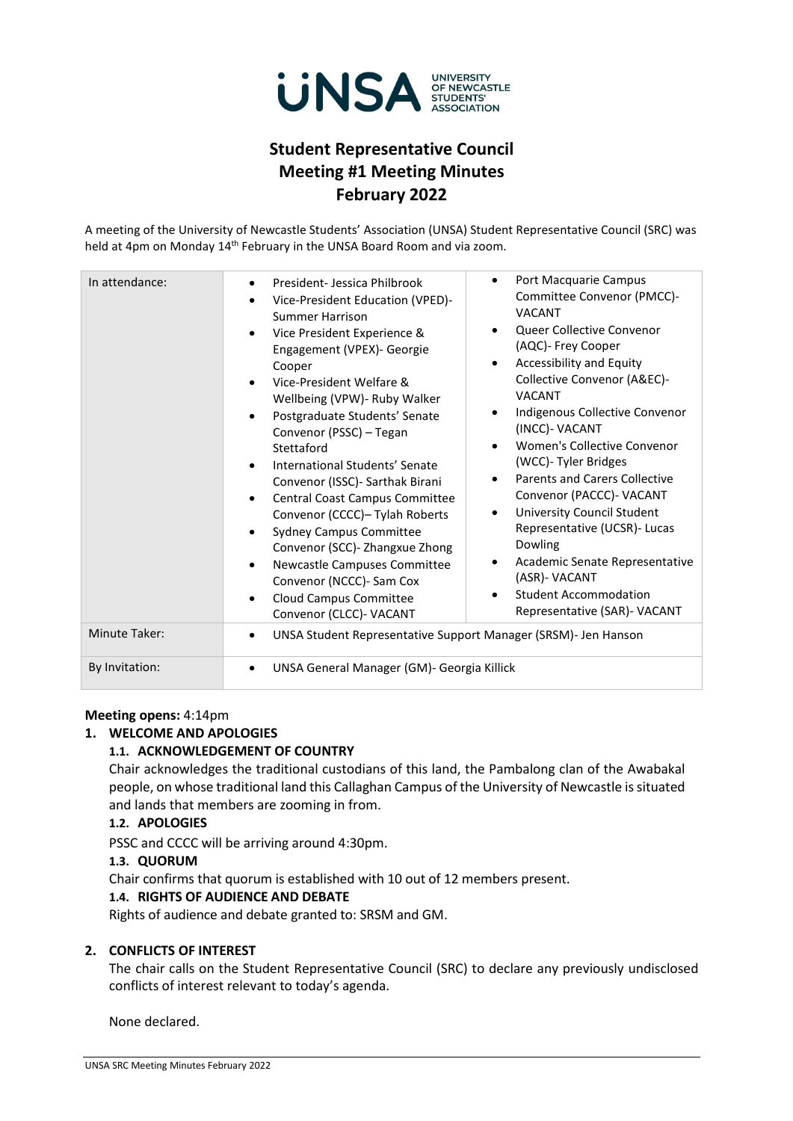

# **Student Representative Council Meeting #1 Meeting Minutes February 2022**

A meeting of the University of Newcastle Students' Association (UNSA) Student Representative Council (SRC) was held at 4pm on Monday 14<sup>th</sup> February in the UNSA Board Room and via zoom.

| In attendance: | Port Macquarie Campus<br>٠<br>President-Jessica Philbrook<br>$\bullet$<br>Committee Convenor (PMCC)-<br>Vice-President Education (VPED)-<br>$\bullet$<br><b>VACANT</b><br><b>Summer Harrison</b><br>Queer Collective Convenor<br>٠<br>Vice President Experience &<br>$\bullet$<br>(AQC)- Frey Cooper<br>Engagement (VPEX)- Georgie<br>Accessibility and Equity<br>٠<br>Cooper<br>Collective Convenor (A&EC)-<br>Vice-President Welfare &<br>$\bullet$<br><b>VACANT</b><br>Wellbeing (VPW) - Ruby Walker<br>Indigenous Collective Convenor<br>٠<br>Postgraduate Students' Senate<br>$\bullet$<br>(INCC)- VACANT<br>Convenor (PSSC) - Tegan<br>Women's Collective Convenor<br>$\bullet$<br>Stettaford<br>(WCC)- Tyler Bridges<br>International Students' Senate<br>$\bullet$<br><b>Parents and Carers Collective</b><br>$\bullet$<br>Convenor (ISSC) - Sarthak Birani<br>Convenor (PACCC)- VACANT<br>Central Coast Campus Committee<br>$\bullet$<br>University Council Student<br>$\bullet$<br>Convenor (CCCC)- Tylah Roberts<br>Representative (UCSR)- Lucas<br><b>Sydney Campus Committee</b><br>$\bullet$<br>Dowling<br>Convenor (SCC) - Zhangxue Zhong<br>Academic Senate Representative<br>٠<br>Newcastle Campuses Committee<br>$\bullet$<br>(ASR)- VACANT<br>Convenor (NCCC)- Sam Cox<br><b>Student Accommodation</b><br>٠<br>Cloud Campus Committee<br>$\bullet$<br>Representative (SAR)- VACANT<br>Convenor (CLCC)- VACANT |
|----------------|----------------------------------------------------------------------------------------------------------------------------------------------------------------------------------------------------------------------------------------------------------------------------------------------------------------------------------------------------------------------------------------------------------------------------------------------------------------------------------------------------------------------------------------------------------------------------------------------------------------------------------------------------------------------------------------------------------------------------------------------------------------------------------------------------------------------------------------------------------------------------------------------------------------------------------------------------------------------------------------------------------------------------------------------------------------------------------------------------------------------------------------------------------------------------------------------------------------------------------------------------------------------------------------------------------------------------------------------------------------------------------------------------------------------------------|
| Minute Taker:  | UNSA Student Representative Support Manager (SRSM)- Jen Hanson<br>$\bullet$                                                                                                                                                                                                                                                                                                                                                                                                                                                                                                                                                                                                                                                                                                                                                                                                                                                                                                                                                                                                                                                                                                                                                                                                                                                                                                                                                      |
| By Invitation: | UNSA General Manager (GM)- Georgia Killick<br>$\bullet$                                                                                                                                                                                                                                                                                                                                                                                                                                                                                                                                                                                                                                                                                                                                                                                                                                                                                                                                                                                                                                                                                                                                                                                                                                                                                                                                                                          |

#### **Meeting opens:** 4:14pm

#### **1. WELCOME AND APOLOGIES**

#### **1.1. ACKNOWLEDGEMENT OF COUNTRY**

Chair acknowledges the traditional custodians of this land, the Pambalong clan of the Awabakal people, on whose traditional land this Callaghan Campus of the University of Newcastle is situated and lands that members are zooming in from.

# **1.2. APOLOGIES**

PSSC and CCCC will be arriving around 4:30pm.

#### **1.3. QUORUM**

Chair confirms that quorum is established with 10 out of 12 members present.

#### **1.4. RIGHTS OF AUDIENCE AND DEBATE**

Rights of audience and debate granted to: SRSM and GM.

#### **2. CONFLICTS OF INTEREST**

The chair calls on the Student Representative Council (SRC) to declare any previously undisclosed conflicts of interest relevant to today's agenda.

None declared.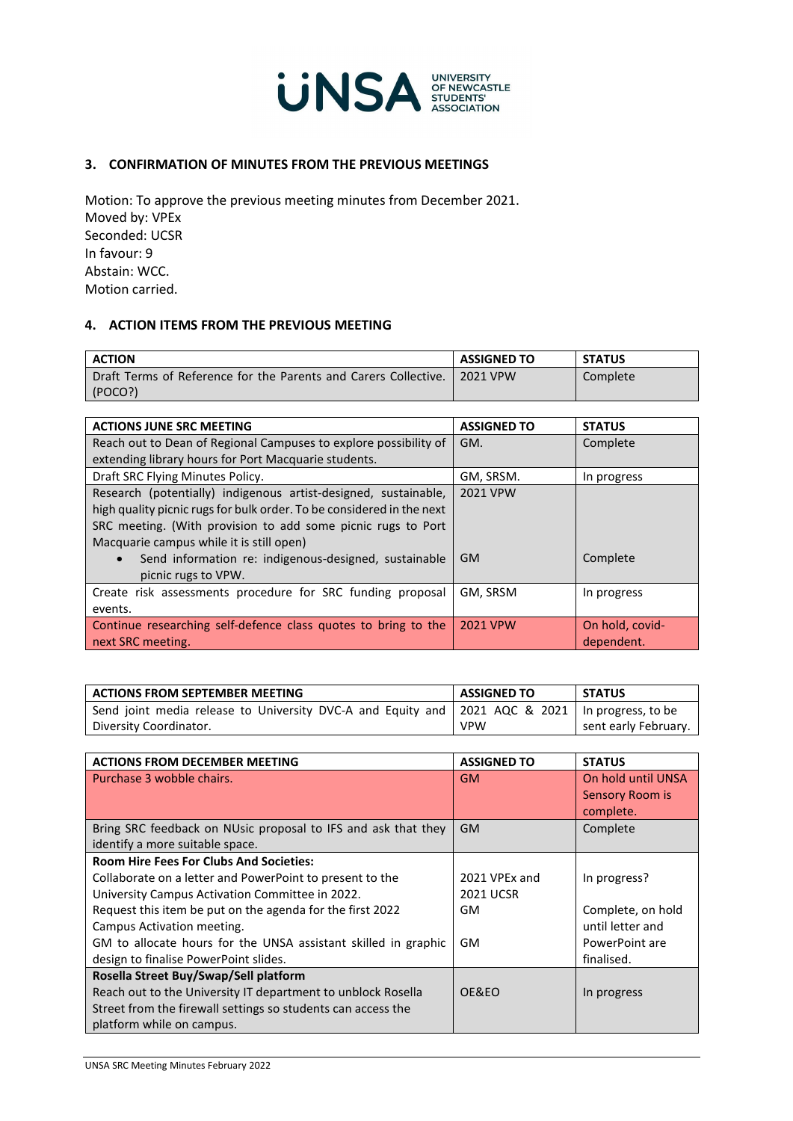

## **3. CONFIRMATION OF MINUTES FROM THE PREVIOUS MEETINGS**

Motion: To approve the previous meeting minutes from December 2021. Moved by: VPEx Seconded: UCSR In favour: 9 Abstain: WCC. Motion carried.

## **4. ACTION ITEMS FROM THE PREVIOUS MEETING**

| <b>ACTION</b>                                                   | <b>ASSIGNED TO</b> | <b>STATUS</b> |
|-----------------------------------------------------------------|--------------------|---------------|
| Draft Terms of Reference for the Parents and Carers Collective. | 2021 VPW           | Complete      |
| (POCO?)                                                         |                    |               |

| <b>ACTIONS JUNE SRC MEETING</b>                                       | <b>ASSIGNED TO</b> | <b>STATUS</b>   |
|-----------------------------------------------------------------------|--------------------|-----------------|
| Reach out to Dean of Regional Campuses to explore possibility of      | GM.                | Complete        |
| extending library hours for Port Macquarie students.                  |                    |                 |
| Draft SRC Flying Minutes Policy.                                      | GM, SRSM.          | In progress     |
| Research (potentially) indigenous artist-designed, sustainable,       | 2021 VPW           |                 |
| high quality picnic rugs for bulk order. To be considered in the next |                    |                 |
| SRC meeting. (With provision to add some picnic rugs to Port          |                    |                 |
| Macquarie campus while it is still open)                              |                    |                 |
| Send information re: indigenous-designed, sustainable                 | GM.                | Complete        |
| picnic rugs to VPW.                                                   |                    |                 |
| Create risk assessments procedure for SRC funding proposal            | GM, SRSM           | In progress     |
| events.                                                               |                    |                 |
| Continue researching self-defence class quotes to bring to the        | <b>2021 VPW</b>    | On hold, covid- |
| next SRC meeting.                                                     |                    | dependent.      |

| <b>ACTIONS FROM SEPTEMBER MEETING</b>                                                            | <b>ASSIGNED TO</b> | <b>STATUS</b>        |
|--------------------------------------------------------------------------------------------------|--------------------|----------------------|
| Send joint media release to University DVC-A and Equity and 2021 AQC & 2021   In progress, to be |                    |                      |
| Diversity Coordinator.                                                                           | <b>VPW</b>         | sent early February. |

| <b>ACTIONS FROM DECEMBER MEETING</b>                           | <b>ASSIGNED TO</b> | <b>STATUS</b>                                      |
|----------------------------------------------------------------|--------------------|----------------------------------------------------|
| Purchase 3 wobble chairs.                                      | <b>GM</b>          | On hold until UNSA<br>Sensory Room is<br>complete. |
| Bring SRC feedback on NUsic proposal to IFS and ask that they  | <b>GM</b>          | Complete                                           |
| identify a more suitable space.                                |                    |                                                    |
| <b>Room Hire Fees For Clubs And Societies:</b>                 |                    |                                                    |
| Collaborate on a letter and PowerPoint to present to the       | 2021 VPEx and      | In progress?                                       |
| University Campus Activation Committee in 2022.                | <b>2021 UCSR</b>   |                                                    |
| Request this item be put on the agenda for the first 2022      | GM                 | Complete, on hold                                  |
| Campus Activation meeting.                                     |                    | until letter and                                   |
| GM to allocate hours for the UNSA assistant skilled in graphic | <b>GM</b>          | PowerPoint are                                     |
| design to finalise PowerPoint slides.                          |                    | finalised.                                         |
| Rosella Street Buy/Swap/Sell platform                          |                    |                                                    |
| Reach out to the University IT department to unblock Rosella   | OE&EO              | In progress                                        |
| Street from the firewall settings so students can access the   |                    |                                                    |
| platform while on campus.                                      |                    |                                                    |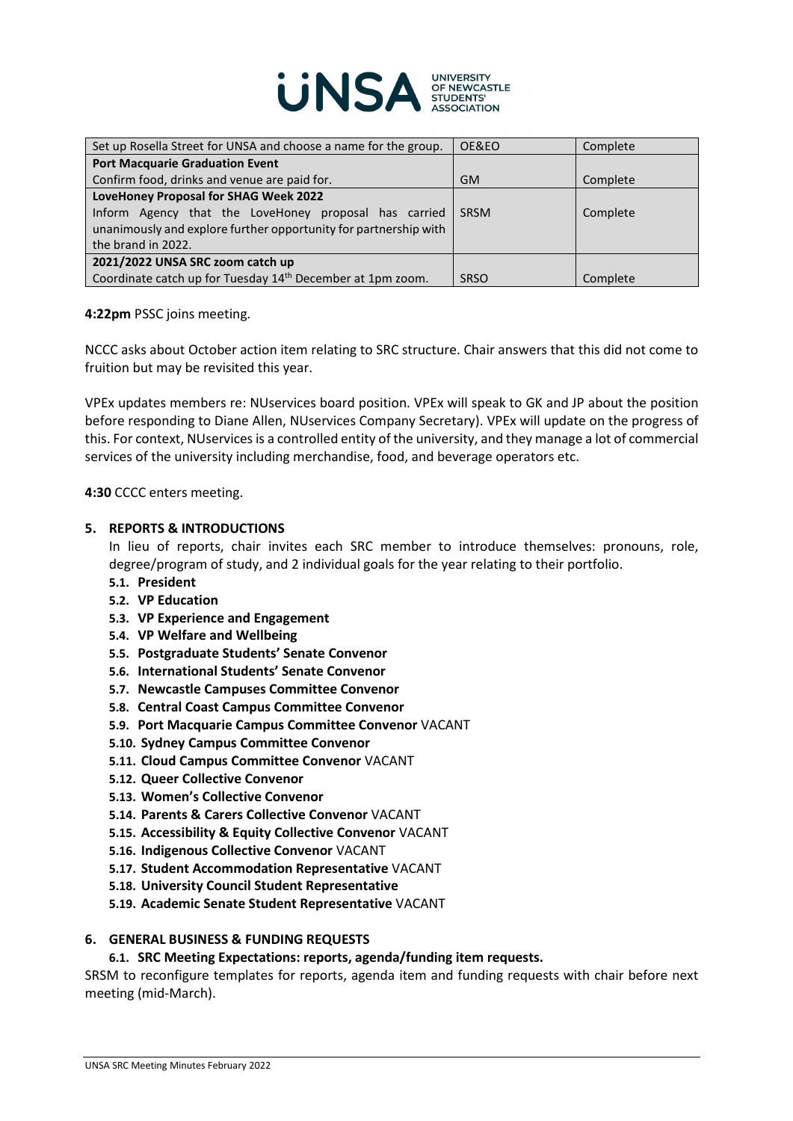

| Set up Rosella Street for UNSA and choose a name for the group.        | OE&EO       | Complete |
|------------------------------------------------------------------------|-------------|----------|
| <b>Port Macquarie Graduation Event</b>                                 |             |          |
| Confirm food, drinks and venue are paid for.                           | <b>GM</b>   | Complete |
| LoveHoney Proposal for SHAG Week 2022                                  |             |          |
| Inform Agency that the LoveHoney proposal has carried                  | <b>SRSM</b> | Complete |
| unanimously and explore further opportunity for partnership with       |             |          |
| the brand in 2022.                                                     |             |          |
| 2021/2022 UNSA SRC zoom catch up                                       |             |          |
| Coordinate catch up for Tuesday 14 <sup>th</sup> December at 1pm zoom. | <b>SRSO</b> | Complete |

#### **4:22pm** PSSC joins meeting.

NCCC asks about October action item relating to SRC structure. Chair answers that this did not come to fruition but may be revisited this year.

VPEx updates members re: NUservices board position. VPEx will speak to GK and JP about the position before responding to Diane Allen, NUservices Company Secretary). VPEx will update on the progress of this. For context, NUservices is a controlled entity of the university, and they manage a lot of commercial services of the university including merchandise, food, and beverage operators etc.

**4:30** CCCC enters meeting.

#### **5. REPORTS & INTRODUCTIONS**

In lieu of reports, chair invites each SRC member to introduce themselves: pronouns, role, degree/program of study, and 2 individual goals for the year relating to their portfolio.

- **5.1. President**
- **5.2. VP Education**
- **5.3. VP Experience and Engagement**
- **5.4. VP Welfare and Wellbeing**
- **5.5. Postgraduate Students' Senate Convenor**
- **5.6. International Students' Senate Convenor**
- **5.7. Newcastle Campuses Committee Convenor**
- **5.8. Central Coast Campus Committee Convenor**
- **5.9. Port Macquarie Campus Committee Convenor** VACANT
- **5.10. Sydney Campus Committee Convenor**
- **5.11. Cloud Campus Committee Convenor** VACANT
- **5.12. Queer Collective Convenor**
- **5.13. Women's Collective Convenor**
- **5.14. Parents & Carers Collective Convenor** VACANT
- **5.15. Accessibility & Equity Collective Convenor** VACANT
- **5.16. Indigenous Collective Convenor** VACANT
- **5.17. Student Accommodation Representative** VACANT
- **5.18. University Council Student Representative**
- **5.19. Academic Senate Student Representative** VACANT

## **6. GENERAL BUSINESS & FUNDING REQUESTS**

#### **6.1. SRC Meeting Expectations: reports, agenda/funding item requests.**

SRSM to reconfigure templates for reports, agenda item and funding requests with chair before next meeting (mid-March).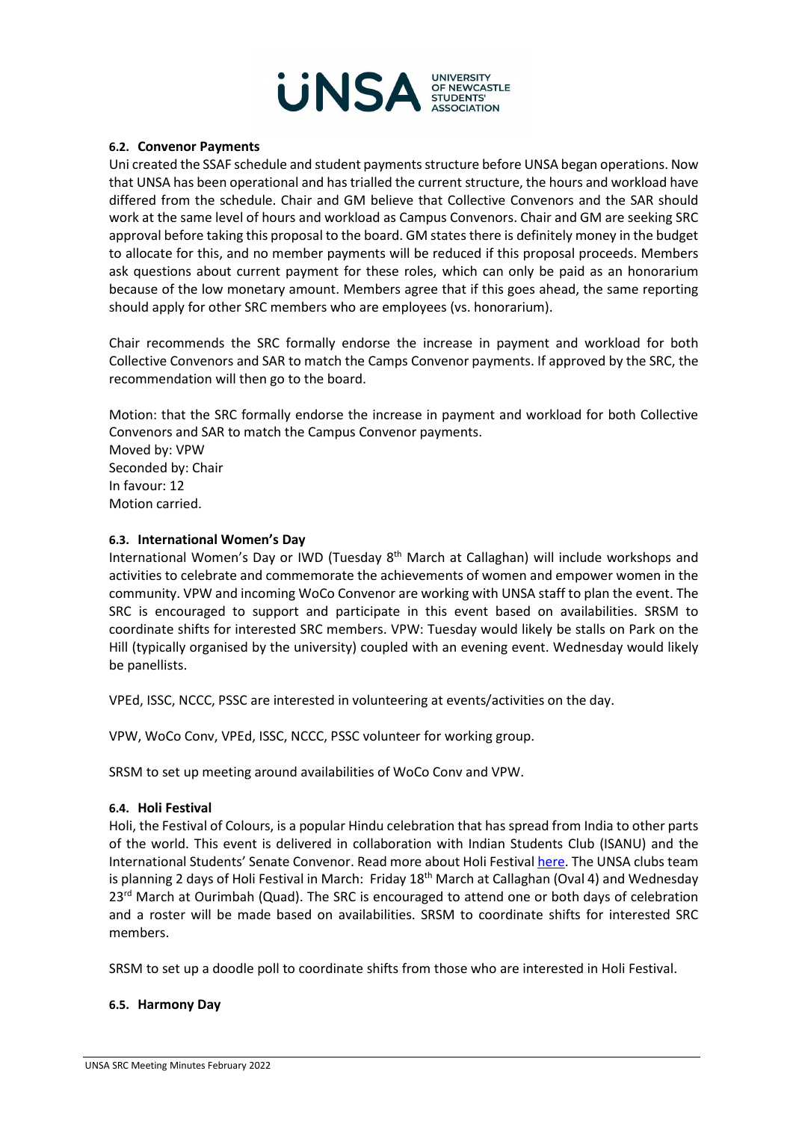

#### **6.2. Convenor Payments**

Uni created the SSAF schedule and student payments structure before UNSA began operations. Now that UNSA has been operational and has trialled the current structure, the hours and workload have differed from the schedule. Chair and GM believe that Collective Convenors and the SAR should work at the same level of hours and workload as Campus Convenors. Chair and GM are seeking SRC approval before taking this proposal to the board. GM states there is definitely money in the budget to allocate for this, and no member payments will be reduced if this proposal proceeds. Members ask questions about current payment for these roles, which can only be paid as an honorarium because of the low monetary amount. Members agree that if this goes ahead, the same reporting should apply for other SRC members who are employees (vs. honorarium).

Chair recommends the SRC formally endorse the increase in payment and workload for both Collective Convenors and SAR to match the Camps Convenor payments. If approved by the SRC, the recommendation will then go to the board.

Motion: that the SRC formally endorse the increase in payment and workload for both Collective Convenors and SAR to match the Campus Convenor payments. Moved by: VPW Seconded by: Chair In favour: 12 Motion carried.

#### **6.3. International Women's Day**

International Women's Day or IWD (Tuesday  $8<sup>th</sup>$  March at Callaghan) will include workshops and activities to celebrate and commemorate the achievements of women and empower women in the community. VPW and incoming WoCo Convenor are working with UNSA staff to plan the event. The SRC is encouraged to support and participate in this event based on availabilities. SRSM to coordinate shifts for interested SRC members. VPW: Tuesday would likely be stalls on Park on the Hill (typically organised by the university) coupled with an evening event. Wednesday would likely be panellists.

VPEd, ISSC, NCCC, PSSC are interested in volunteering at events/activities on the day.

VPW, WoCo Conv, VPEd, ISSC, NCCC, PSSC volunteer for working group.

SRSM to set up meeting around availabilities of WoCo Conv and VPW.

#### **6.4. Holi Festival**

Holi, the Festival of Colours, is a popular Hindu celebration that has spread from India to other parts of the world. This event is delivered in collaboration with Indian Students Club (ISANU) and the International Students' Senate Convenor. Read more about Holi Festiva[l here.](https://www.holifestival.org/) The UNSA clubs team is planning 2 days of Holi Festival in March: Friday 18<sup>th</sup> March at Callaghan (Oval 4) and Wednesday  $23<sup>rd</sup>$  March at Ourimbah (Quad). The SRC is encouraged to attend one or both days of celebration and a roster will be made based on availabilities. SRSM to coordinate shifts for interested SRC members.

SRSM to set up a doodle poll to coordinate shifts from those who are interested in Holi Festival.

#### **6.5. Harmony Day**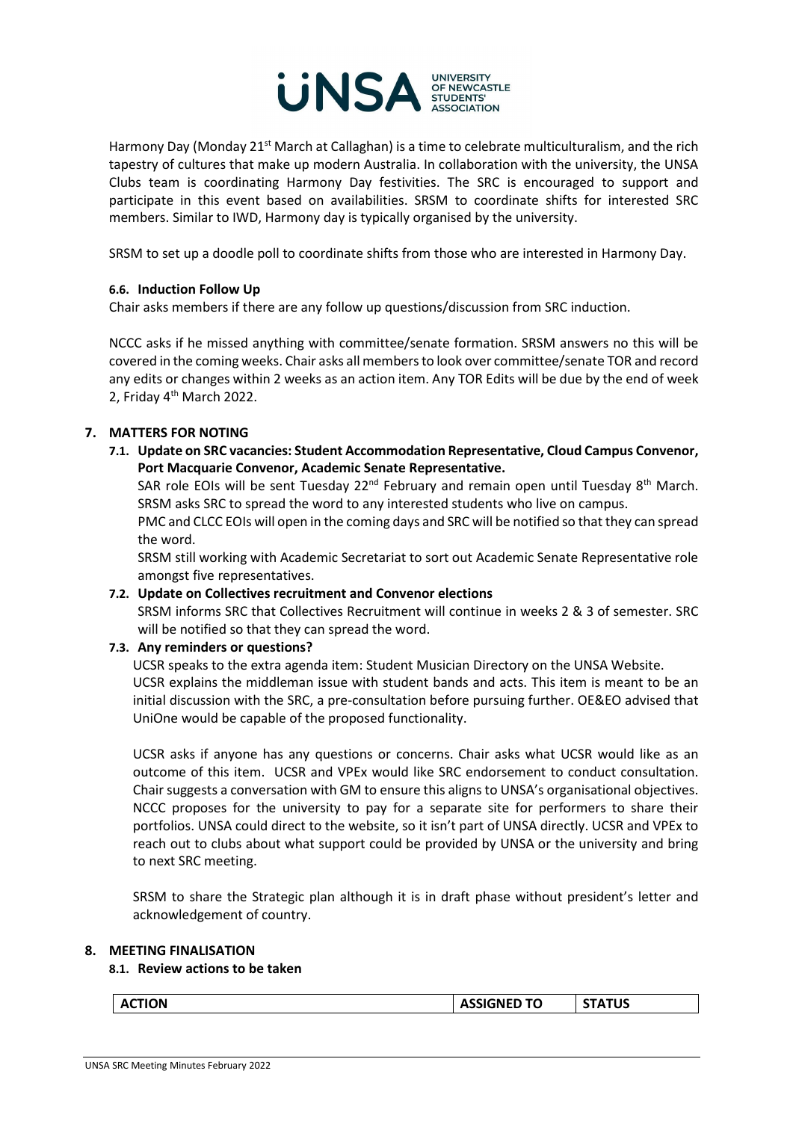

Harmony Day (Monday 21<sup>st</sup> March at Callaghan) is a time to celebrate multiculturalism, and the rich tapestry of cultures that make up modern Australia. In collaboration with the university, the UNSA Clubs team is coordinating Harmony Day festivities. The SRC is encouraged to support and participate in this event based on availabilities. SRSM to coordinate shifts for interested SRC members. Similar to IWD, Harmony day is typically organised by the university.

SRSM to set up a doodle poll to coordinate shifts from those who are interested in Harmony Day.

# **6.6. Induction Follow Up**

Chair asks members if there are any follow up questions/discussion from SRC induction.

NCCC asks if he missed anything with committee/senate formation. SRSM answers no this will be covered in the coming weeks. Chair asks all members to look over committee/senate TOR and record any edits or changes within 2 weeks as an action item. Any TOR Edits will be due by the end of week 2, Friday 4th March 2022.

# **7. MATTERS FOR NOTING**

**7.1. Update on SRC vacancies: Student Accommodation Representative, Cloud Campus Convenor, Port Macquarie Convenor, Academic Senate Representative.** 

SAR role EOIs will be sent Tuesday  $22<sup>nd</sup>$  February and remain open until Tuesday  $8<sup>th</sup>$  March. SRSM asks SRC to spread the word to any interested students who live on campus.

PMC and CLCC EOIs will open in the coming days and SRC will be notified so that they can spread the word.

SRSM still working with Academic Secretariat to sort out Academic Senate Representative role amongst five representatives.

#### **7.2. Update on Collectives recruitment and Convenor elections**

SRSM informs SRC that Collectives Recruitment will continue in weeks 2 & 3 of semester. SRC will be notified so that they can spread the word.

#### **7.3. Any reminders or questions?**

UCSR speaks to the extra agenda item: Student Musician Directory on the UNSA Website. UCSR explains the middleman issue with student bands and acts. This item is meant to be an initial discussion with the SRC, a pre-consultation before pursuing further. OE&EO advised that UniOne would be capable of the proposed functionality.

UCSR asks if anyone has any questions or concerns. Chair asks what UCSR would like as an outcome of this item. UCSR and VPEx would like SRC endorsement to conduct consultation. Chair suggests a conversation with GM to ensure this aligns to UNSA's organisational objectives. NCCC proposes for the university to pay for a separate site for performers to share their portfolios. UNSA could direct to the website, so it isn't part of UNSA directly. UCSR and VPEx to reach out to clubs about what support could be provided by UNSA or the university and bring to next SRC meeting.

SRSM to share the Strategic plan although it is in draft phase without president's letter and acknowledgement of country.

#### **8. MEETING FINALISATION**

#### **8.1. Review actions to be taken**

|--|

**ACTION ASSIGNED TO STATUS**